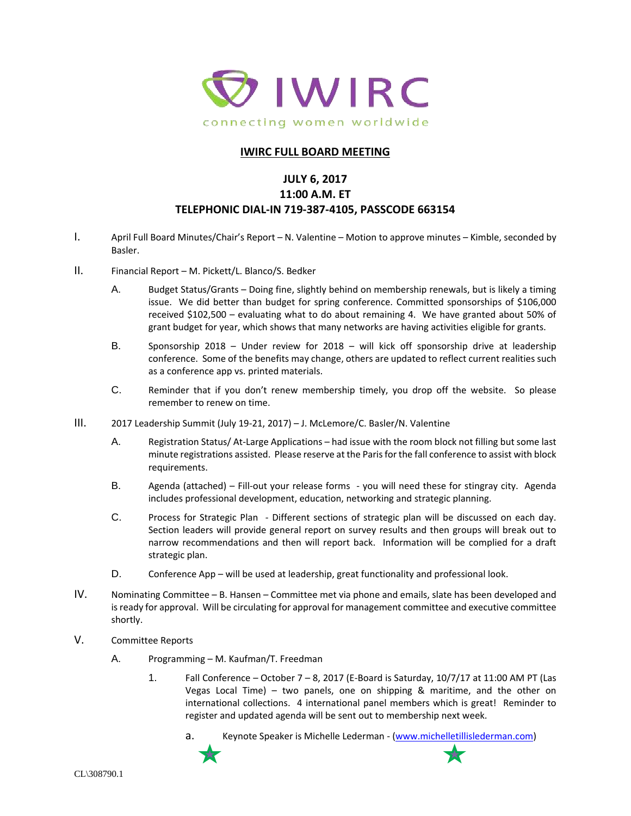

#### **IWIRC FULL BOARD MEETING**

# **JULY 6, 2017**

#### **11:00 A.M. ET TELEPHONIC DIAL-IN 719-387-4105, PASSCODE 663154**

- I. April Full Board Minutes/Chair's Report N. Valentine Motion to approve minutes Kimble, seconded by Basler.
- II. Financial Report M. Pickett/L. Blanco/S. Bedker
	- A. Budget Status/Grants Doing fine, slightly behind on membership renewals, but is likely a timing issue. We did better than budget for spring conference. Committed sponsorships of \$106,000 received \$102,500 – evaluating what to do about remaining 4. We have granted about 50% of grant budget for year, which shows that many networks are having activities eligible for grants.
	- B. Sponsorship 2018 Under review for 2018 will kick off sponsorship drive at leadership conference. Some of the benefits may change, others are updated to reflect current realities such as a conference app vs. printed materials.
	- C. Reminder that if you don't renew membership timely, you drop off the website. So please remember to renew on time.
- III. 2017 Leadership Summit (July 19-21, 2017) J. McLemore/C. Basler/N. Valentine
	- A. Registration Status/ At-Large Applications had issue with the room block not filling but some last minute registrations assisted. Please reserve at the Paris for the fall conference to assist with block requirements.
	- B. Agenda (attached) Fill-out your release forms you will need these for stingray city. Agenda includes professional development, education, networking and strategic planning.
	- C. Process for Strategic Plan Different sections of strategic plan will be discussed on each day. Section leaders will provide general report on survey results and then groups will break out to narrow recommendations and then will report back. Information will be complied for a draft strategic plan.
	- D. Conference App will be used at leadership, great functionality and professional look.
- IV. Nominating Committee B. Hansen Committee met via phone and emails, slate has been developed and is ready for approval. Will be circulating for approval for management committee and executive committee shortly.
- V. Committee Reports
	- A. Programming M. Kaufman/T. Freedman
		- 1. Fall Conference October 7 8, 2017 (E-Board is Saturday, 10/7/17 at 11:00 AM PT (Las Vegas Local Time) – two panels, one on shipping & maritime, and the other on international collections. 4 international panel members which is great! Reminder to register and updated agenda will be sent out to membership next week.
			- a. Keynote Speaker is Michelle Lederman [\(www.michelletillislederman.com\)](https://protect-us.mimecast.com/s/mmoXB0Tq55mZHl?domain=urldefense.proofpoint.com)

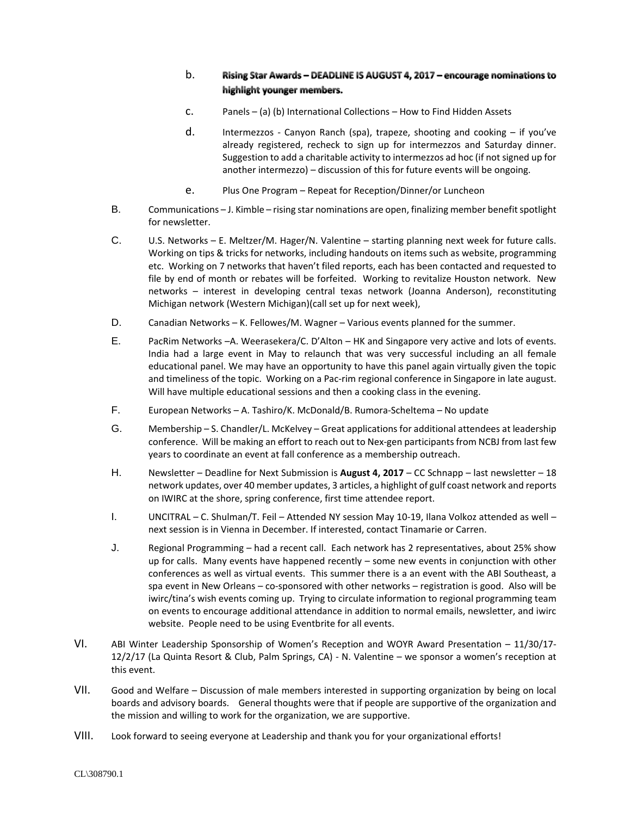#### b. Rising Star Awards - DEADLINE IS AUGUST 4, 2017 - encourage nominations to highlight younger members.

- c. Panels (a) (b) International Collections How to Find Hidden Assets
- d. Intermezzos Canyon Ranch (spa), trapeze, shooting and cooking if you've already registered, recheck to sign up for intermezzos and Saturday dinner. Suggestion to add a charitable activity to intermezzos ad hoc (if not signed up for another intermezzo) – discussion of this for future events will be ongoing.
- e. Plus One Program Repeat for Reception/Dinner/or Luncheon
- B. Communications J. Kimble rising star nominations are open, finalizing member benefit spotlight for newsletter.
- C. U.S. Networks E. Meltzer/M. Hager/N. Valentine starting planning next week for future calls. Working on tips & tricks for networks, including handouts on items such as website, programming etc. Working on 7 networks that haven't filed reports, each has been contacted and requested to file by end of month or rebates will be forfeited. Working to revitalize Houston network. New networks – interest in developing central texas network (Joanna Anderson), reconstituting Michigan network (Western Michigan)(call set up for next week),
- D. Canadian Networks K. Fellowes/M. Wagner Various events planned for the summer.
- E. PacRim Networks –A. Weerasekera/C. D'Alton HK and Singapore very active and lots of events. India had a large event in May to relaunch that was very successful including an all female educational panel. We may have an opportunity to have this panel again virtually given the topic and timeliness of the topic. Working on a Pac-rim regional conference in Singapore in late august. Will have multiple educational sessions and then a cooking class in the evening.
- F. European Networks A. Tashiro/K. McDonald/B. Rumora-Scheltema No update
- G. Membership S. Chandler/L. McKelvey Great applications for additional attendees at leadership conference. Will be making an effort to reach out to Nex-gen participants from NCBJ from last few years to coordinate an event at fall conference as a membership outreach.
- H. Newsletter Deadline for Next Submission is **August 4, 2017** CC Schnapp last newsletter 18 network updates, over 40 member updates, 3 articles, a highlight of gulf coast network and reports on IWIRC at the shore, spring conference, first time attendee report.
- I. UNCITRAL C. Shulman/T. Feil Attended NY session May 10-19, Ilana Volkoz attended as well next session is in Vienna in December. If interested, contact Tinamarie or Carren.
- J. Regional Programming had a recent call. Each network has 2 representatives, about 25% show up for calls. Many events have happened recently – some new events in conjunction with other conferences as well as virtual events. This summer there is a an event with the ABI Southeast, a spa event in New Orleans – co-sponsored with other networks – registration is good. Also will be iwirc/tina's wish events coming up. Trying to circulate information to regional programming team on events to encourage additional attendance in addition to normal emails, newsletter, and iwirc website. People need to be using Eventbrite for all events.
- VI. ABI Winter Leadership Sponsorship of Women's Reception and WOYR Award Presentation 11/30/17- 12/2/17 (La Quinta Resort & Club, Palm Springs, CA) - N. Valentine – we sponsor a women's reception at this event.
- VII. Good and Welfare Discussion of male members interested in supporting organization by being on local boards and advisory boards. General thoughts were that if people are supportive of the organization and the mission and willing to work for the organization, we are supportive.
- VIII. Look forward to seeing everyone at Leadership and thank you for your organizational efforts!